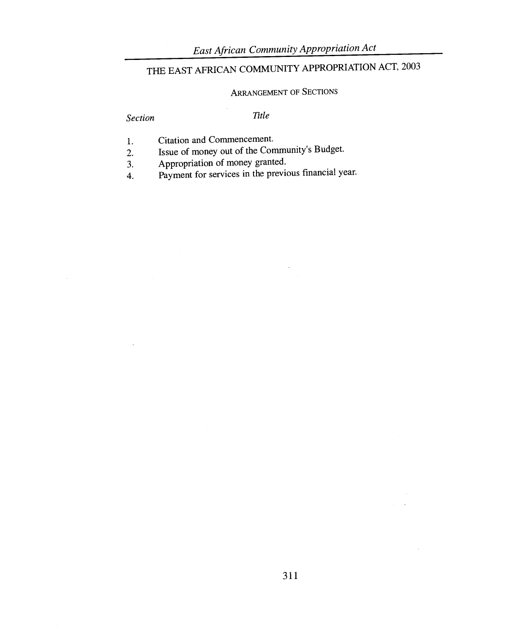# THE EAST AFRICAN COMMUNITY APPROPRIATION ACT, 2003

## ARRANGEMENT OF SECTIONS

### *Section Title*

- 1. Citation and Commencement.
- 2. Issue of money out of the Community's Budget.
- 3. Appropriation of money granted.
- 4. Payment for services in the previous financial year.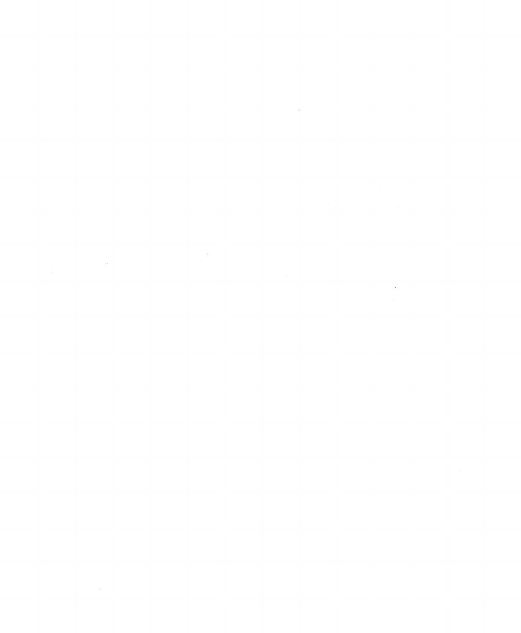$\label{eq:2.1} \frac{1}{\sqrt{2}}\left(\frac{1}{\sqrt{2}}\right)^{2} \left(\frac{1}{\sqrt{2}}\right)^{2} \left(\frac{1}{\sqrt{2}}\right)^{2} \left(\frac{1}{\sqrt{2}}\right)^{2} \left(\frac{1}{\sqrt{2}}\right)^{2} \left(\frac{1}{\sqrt{2}}\right)^{2} \left(\frac{1}{\sqrt{2}}\right)^{2} \left(\frac{1}{\sqrt{2}}\right)^{2} \left(\frac{1}{\sqrt{2}}\right)^{2} \left(\frac{1}{\sqrt{2}}\right)^{2} \left(\frac{1}{\sqrt{2}}\right)^{2} \left(\$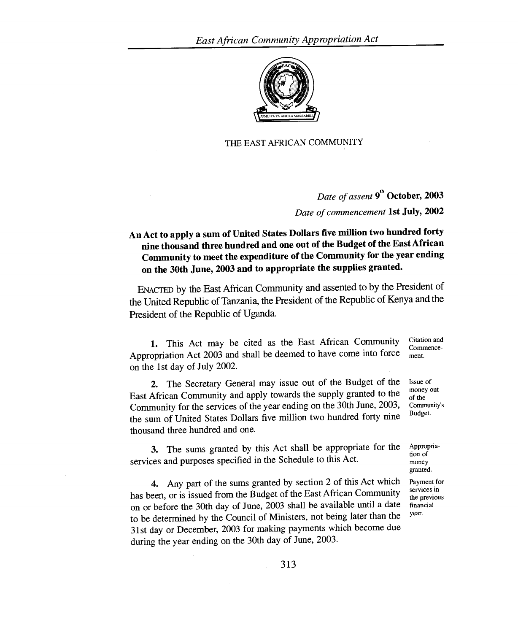

### THE EAST AFRICAN COMMUNITY

*Date of assent* **9 th October, 2003**  *Date of commencement* **1st July, 2002** 

### **An Act to apply a sum of United States Dollars five million two hundred forty nine thousand three hundred and one out of the Budget of the East African Community to meet the expenditure of the Community for the year ending on the 30th June, 2003 and to appropriate the supplies granted.**

ENACTED by the East African Community and assented to by the President of the United Republic of Tanzania, the President of the Republic of Kenya and the President of the Republic of Uganda.

1. This Act may be cited as the East African Community Appropriation Act 2003 and shall be deemed to have come into force on the 1st day of July 2002.

2. The Secretary General may issue out of the Budget of the East African Community and apply towards the supply granted to the Community for the services of the year ending on the 30th June, 2003, the sum of United States Dollars five million two hundred forty nine thousand three hundred and one.

3. The sums granted by this Act shall be appropriate for the services and purposes specified in the Schedule to this Act.

4. Any part of the sums granted by section 2 of this Act which has been, or is issued from the Budget of the East African Community on or before the 30th day of June, 2003 shall be available until a date to be determined by the Council of Ministers, not being later than the 31st day or December, 2003 for making payments which become due during the year ending on the 30th day of June, 2003.

Citation and Commencement.

Issue of money out of the Community's Budget.

Appropriation of money granted.

Payment for services in the previous financial year.